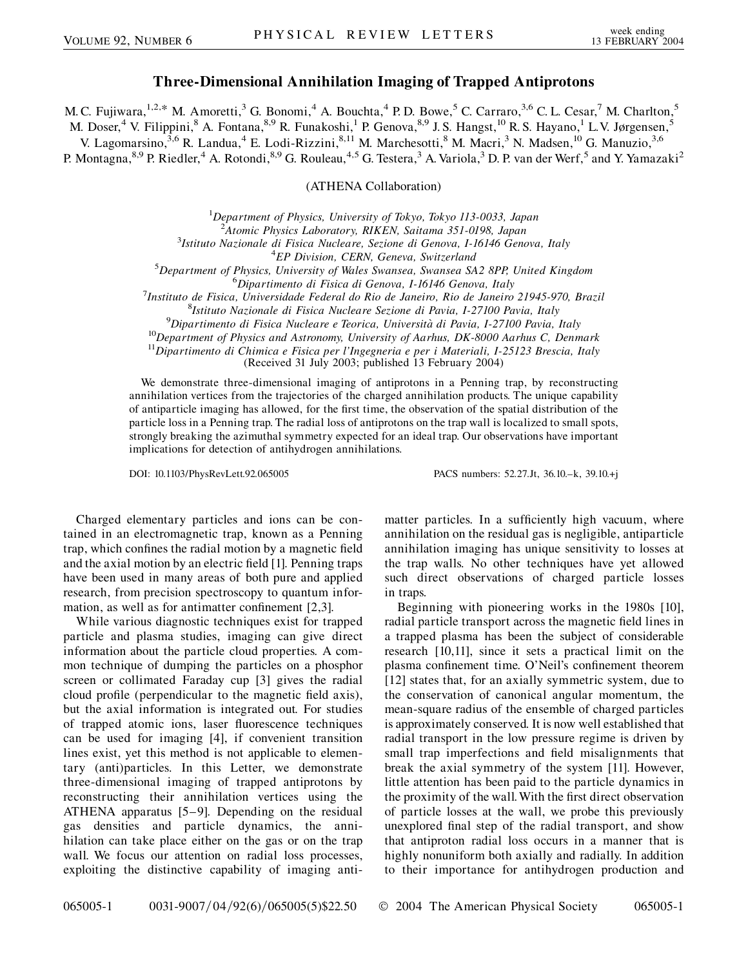## **Three-Dimensional Annihilation Imaging of Trapped Antiprotons**

M. C. Fujiwara,  $1,2,*$  M. Amoretti,  $3$  G. Bonomi,  $4$  A. Bouchta,  $4$  P. D. Bowe,  $5$  C. Carraro,  $3,6$  C. L. Cesar,  $7$  M. Charlton,  $5$ 

M. Doser,<sup>4</sup> V. Filippini,<sup>8</sup> A. Fontana,<sup>8,9</sup> R. Funakoshi,<sup>1</sup> P. Genova,<sup>8,9</sup> J. S. Hangst,<sup>10</sup> R. S. Hayano,<sup>1</sup> L. V. Jørgensen,<sup>5</sup>

V. Lagomarsino,<sup>3,6</sup> R. Landua,<sup>4</sup> E. Lodi-Rizzini,<sup>8,11</sup> M. Marchesotti,<sup>8</sup> M. Macri,<sup>3</sup> N. Madsen,<sup>10</sup> G. Manuzio,<sup>3,6</sup>

P. Montagna, <sup>8,9</sup> P. Riedler, <sup>4</sup> A. Rotondi, <sup>8,9</sup> G. Rouleau, <sup>4,5</sup> G. Testera, <sup>3</sup> A. Variola, <sup>3</sup> D. P. van der Werf, <sup>5</sup> and Y. Yamazaki<sup>2</sup>

(ATHENA Collaboration)

1 *Department of Physics, University of Tokyo, Tokyo 113-0033, Japan*

<sup>2</sup><br><sup>2</sup> Atomic Physics Laboratory, RIKEN, Saitama 351-0198, Japan<sup>3</sup><br><sup>3</sup> Istitute Nazionale di Fisica Nueleare, Sezione di Cenova, J. 16146 Ceno

*Istituto Nazionale di Fisica Nucleare, Sezione di Genova, I-16146 Genova, Italy* <sup>4</sup>

*EP Division, CERN, Geneva, Switzerland* <sup>5</sup>

*Department of Physics, University of Wales Swansea, Swansea SA2 8PP, United Kingdom* <sup>6</sup>

*Dipartimento di Fisica di Genova, I-16146 Genova, Italy* <sup>7</sup>

*Instituto de Fisica, Universidade Federal do Rio de Janeiro, Rio de Janeiro 21945-970, Brazil* <sup>8</sup>

<sup>8</sup>Istituto Nazionale di Fisica Nucleare Sezione di Pavia, I-27100 Pavia, Italy<br><sup>9</sup>Dipartimento di Fisica Nucleare e Teorica, Università di Pavia, I-27100 Pavia, Italy

<sup>10</sup>Department of Physics and Astronomy, University of Aarhus, DK-8000 Aarhus C, Denmark<br><sup>11</sup>Dipartimento di Chimica e Fisica per l'Ingegneria e per i Materiali, I-25123 Brescia, Italy

(Received 31 July 2003; published 13 February 2004)

We demonstrate three-dimensional imaging of antiprotons in a Penning trap, by reconstructing annihilation vertices from the trajectories of the charged annihilation products. The unique capability of antiparticle imaging has allowed, for the first time, the observation of the spatial distribution of the particle loss in a Penning trap. The radial loss of antiprotons on the trap wall is localized to small spots, strongly breaking the azimuthal symmetry expected for an ideal trap. Our observations have important implications for detection of antihydrogen annihilations.

DOI: 10.1103/PhysRevLett.92.065005 PACS numbers: 52.27.Jt, 36.10.–k, 39.10.+j

Charged elementary particles and ions can be contained in an electromagnetic trap, known as a Penning trap, which confines the radial motion by a magnetic field and the axial motion by an electric field [1]. Penning traps have been used in many areas of both pure and applied research, from precision spectroscopy to quantum information, as well as for antimatter confinement [2,3].

While various diagnostic techniques exist for trapped particle and plasma studies, imaging can give direct information about the particle cloud properties. A common technique of dumping the particles on a phosphor screen or collimated Faraday cup [3] gives the radial cloud profile (perpendicular to the magnetic field axis), but the axial information is integrated out. For studies of trapped atomic ions, laser fluorescence techniques can be used for imaging [4], if convenient transition lines exist, yet this method is not applicable to elementary (anti)particles. In this Letter, we demonstrate three-dimensional imaging of trapped antiprotons by reconstructing their annihilation vertices using the ATHENA apparatus [5–9]. Depending on the residual gas densities and particle dynamics, the annihilation can take place either on the gas or on the trap wall. We focus our attention on radial loss processes, exploiting the distinctive capability of imaging antimatter particles. In a sufficiently high vacuum, where annihilation on the residual gas is negligible, antiparticle annihilation imaging has unique sensitivity to losses at the trap walls. No other techniques have yet allowed such direct observations of charged particle losses in traps.

Beginning with pioneering works in the 1980s [10], radial particle transport across the magnetic field lines in a trapped plasma has been the subject of considerable research [10,11], since it sets a practical limit on the plasma confinement time. O'Neil's confinement theorem [12] states that, for an axially symmetric system, due to the conservation of canonical angular momentum, the mean-square radius of the ensemble of charged particles is approximately conserved. It is now well established that radial transport in the low pressure regime is driven by small trap imperfections and field misalignments that break the axial symmetry of the system [11]. However, little attention has been paid to the particle dynamics in the proximity of the wall. With the first direct observation of particle losses at the wall, we probe this previously unexplored final step of the radial transport, and show that antiproton radial loss occurs in a manner that is highly nonuniform both axially and radially. In addition to their importance for antihydrogen production and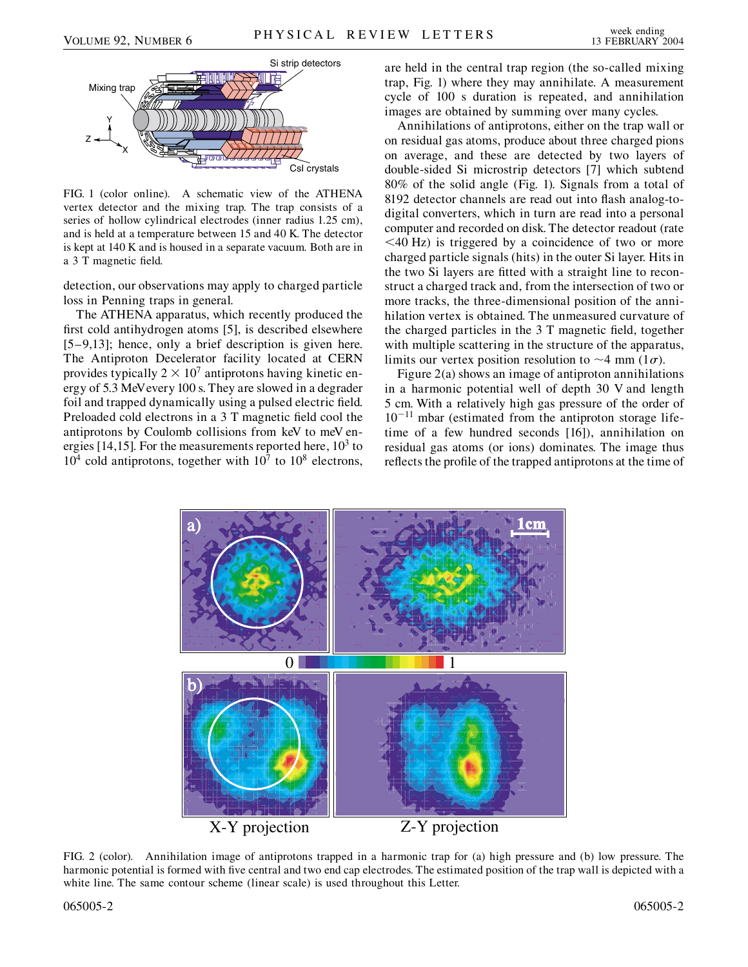

FIG. 1 (color online). A schematic view of the ATHENA vertex detector and the mixing trap. The trap consists of a series of hollow cylindrical electrodes (inner radius 1.25 cm), and is held at a temperature between 15 and 40 K. The detector is kept at 140 K and is housed in a separate vacuum. Both are in a 3 T magnetic field.

detection, our observations may apply to charged particle loss in Penning traps in general.

The ATHENA apparatus, which recently produced the first cold antihydrogen atoms [5], is described elsewhere [5–9,13]; hence, only a brief description is given here. The Antiproton Decelerator facility located at CERN provides typically  $2 \times 10^7$  antiprotons having kinetic energy of 5.3 MeVevery 100 s. They are slowed in a degrader foil and trapped dynamically using a pulsed electric field. Preloaded cold electrons in a 3 T magnetic field cool the antiprotons by Coulomb collisions from keV to meV energies [14,15]. For the measurements reported here,  $10<sup>3</sup>$  to  $10<sup>4</sup>$  cold antiprotons, together with  $10<sup>7</sup>$  to  $10<sup>8</sup>$  electrons, are held in the central trap region (the so-called mixing trap, Fig. 1) where they may annihilate. A measurement cycle of 100 s duration is repeated, and annihilation images are obtained by summing over many cycles.

Annihilations of antiprotons, either on the trap wall or on residual gas atoms, produce about three charged pions on average, and these are detected by two layers of double-sided Si microstrip detectors [7] which subtend 80% of the solid angle (Fig. 1). Signals from a total of 8192 detector channels are read out into flash analog-todigital converters, which in turn are read into a personal computer and recorded on disk. The detector readout (rate *<*40 Hz) is triggered by a coincidence of two or more charged particle signals (hits) in the outer Si layer. Hits in the two Si layers are fitted with a straight line to reconstruct a charged track and, from the intersection of two or more tracks, the three-dimensional position of the annihilation vertex is obtained. The unmeasured curvature of the charged particles in the 3 T magnetic field, together with multiple scattering in the structure of the apparatus, limits our vertex position resolution to  $\sim$  4 mm (1 $\sigma$ ).

Figure 2(a) shows an image of antiproton annihilations in a harmonic potential well of depth 30 V and length 5 cm. With a relatively high gas pressure of the order of  $10^{-11}$  mbar (estimated from the antiproton storage lifetime of a few hundred seconds [16]), annihilation on residual gas atoms (or ions) dominates. The image thus reflects the profile of the trapped antiprotons at the time of



FIG. 2 (color). Annihilation image of antiprotons trapped in a harmonic trap for (a) high pressure and (b) low pressure. The harmonic potential is formed with five central and two end cap electrodes. The estimated position of the trap wall is depicted with a white line. The same contour scheme (linear scale) is used throughout this Letter.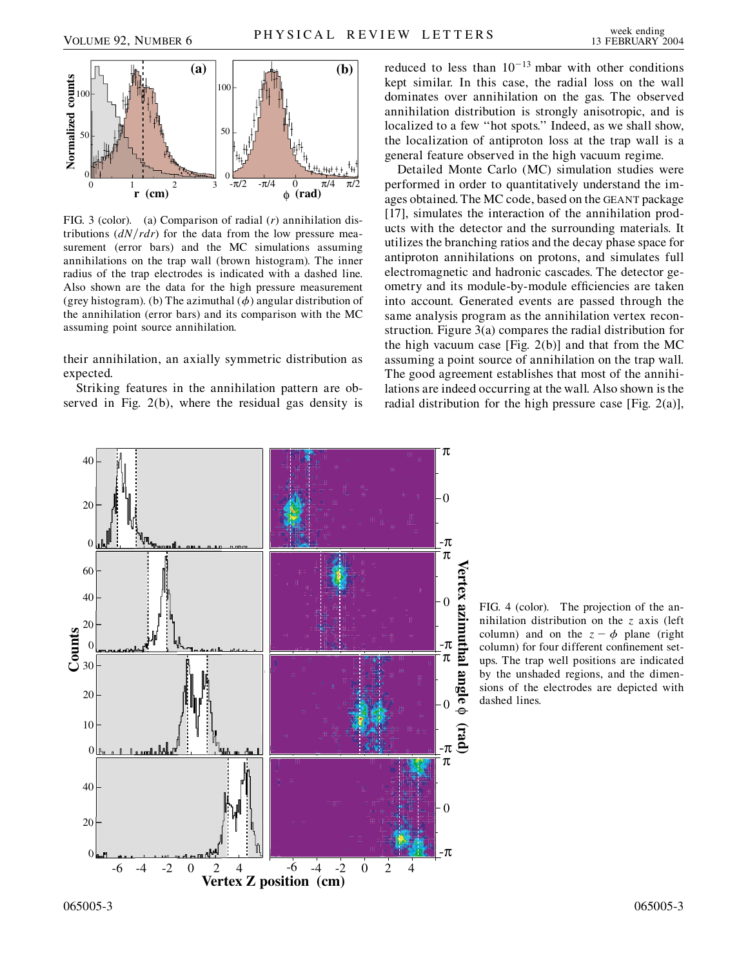

FIG. 3 (color). (a) Comparison of radial (*r*) annihilation distributions  $\left(\frac{dN}{rdr}\right)$  for the data from the low pressure measurement (error bars) and the MC simulations assuming annihilations on the trap wall (brown histogram). The inner radius of the trap electrodes is indicated with a dashed line. Also shown are the data for the high pressure measurement (grey histogram). (b) The azimuthal  $(\phi)$  angular distribution of the annihilation (error bars) and its comparison with the MC assuming point source annihilation.

their annihilation, an axially symmetric distribution as expected.

Striking features in the annihilation pattern are observed in Fig. 2(b), where the residual gas density is reduced to less than  $10^{-13}$  mbar with other conditions kept similar. In this case, the radial loss on the wall dominates over annihilation on the gas. The observed annihilation distribution is strongly anisotropic, and is localized to a few ''hot spots.'' Indeed, as we shall show, the localization of antiproton loss at the trap wall is a general feature observed in the high vacuum regime.

Detailed Monte Carlo (MC) simulation studies were performed in order to quantitatively understand the images obtained. The MC code, based on the GEANT package [17], simulates the interaction of the annihilation products with the detector and the surrounding materials. It utilizes the branching ratios and the decay phase space for antiproton annihilations on protons, and simulates full electromagnetic and hadronic cascades. The detector geometry and its module-by-module efficiencies are taken into account. Generated events are passed through the same analysis program as the annihilation vertex reconstruction. Figure 3(a) compares the radial distribution for the high vacuum case [Fig. 2(b)] and that from the MC assuming a point source of annihilation on the trap wall. The good agreement establishes that most of the annihilations are indeed occurring at the wall. Also shown is the radial distribution for the high pressure case [Fig. 2(a)],



FIG. 4 (color). The projection of the annihilation distribution on the *z* axis (left column) and on the  $z - \phi$  plane (right column) for four different confinement setups. The trap well positions are indicated by the unshaded regions, and the dimensions of the electrodes are depicted with dashed lines.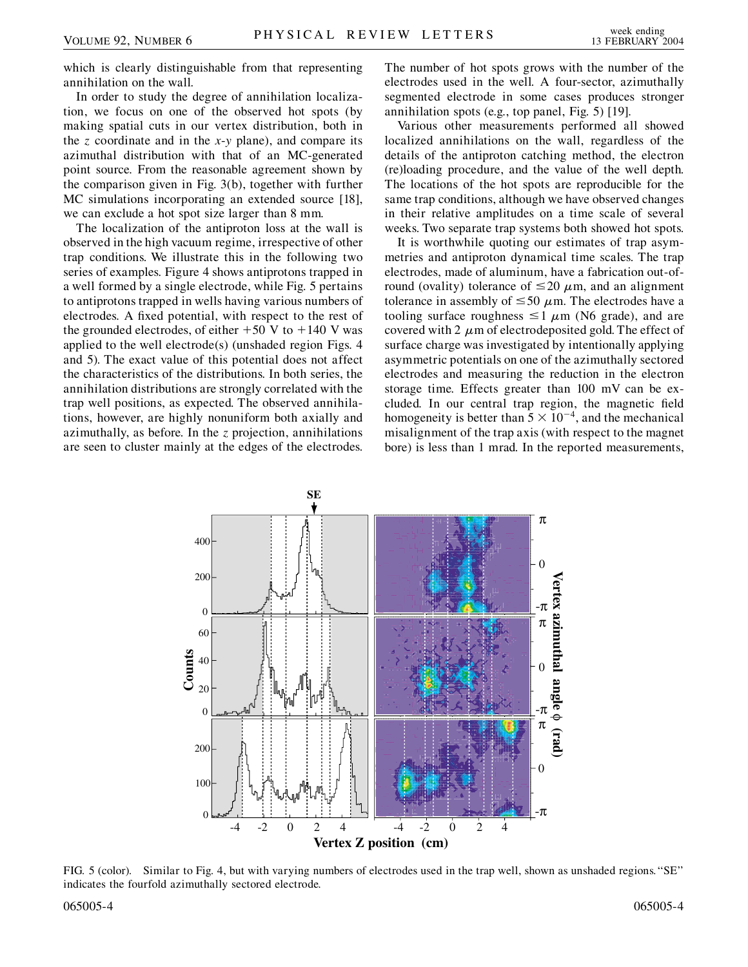which is clearly distinguishable from that representing annihilation on the wall.

In order to study the degree of annihilation localization, we focus on one of the observed hot spots (by making spatial cuts in our vertex distribution, both in the *z* coordinate and in the *x*-*y* plane), and compare its azimuthal distribution with that of an MC-generated point source. From the reasonable agreement shown by the comparison given in Fig. 3(b), together with further MC simulations incorporating an extended source [18], we can exclude a hot spot size larger than 8 mm.

The localization of the antiproton loss at the wall is observed in the high vacuum regime, irrespective of other trap conditions. We illustrate this in the following two series of examples. Figure 4 shows antiprotons trapped in a well formed by a single electrode, while Fig. 5 pertains to antiprotons trapped in wells having various numbers of electrodes. A fixed potential, with respect to the rest of the grounded electrodes, of either  $+50$  V to  $+140$  V was applied to the well electrode(s) (unshaded region Figs. 4 and 5). The exact value of this potential does not affect the characteristics of the distributions. In both series, the annihilation distributions are strongly correlated with the trap well positions, as expected. The observed annihilations, however, are highly nonuniform both axially and azimuthally, as before. In the *z* projection, annihilations are seen to cluster mainly at the edges of the electrodes.

The number of hot spots grows with the number of the electrodes used in the well. A four-sector, azimuthally segmented electrode in some cases produces stronger annihilation spots (e.g., top panel, Fig. 5) [19].

Various other measurements performed all showed localized annihilations on the wall, regardless of the details of the antiproton catching method, the electron (re)loading procedure, and the value of the well depth. The locations of the hot spots are reproducible for the same trap conditions, although we have observed changes in their relative amplitudes on a time scale of several weeks. Two separate trap systems both showed hot spots.

It is worthwhile quoting our estimates of trap asymmetries and antiproton dynamical time scales. The trap electrodes, made of aluminum, have a fabrication out-ofround (ovality) tolerance of  $\leq$ 20  $\mu$ m, and an alignment tolerance in assembly of  $\leq 50 \mu$ m. The electrodes have a tooling surface roughness  $\leq 1 \mu m$  (N6 grade), and are covered with 2  $\mu$ m of electrodeposited gold. The effect of surface charge was investigated by intentionally applying asymmetric potentials on one of the azimuthally sectored electrodes and measuring the reduction in the electron storage time. Effects greater than 100 mV can be excluded. In our central trap region, the magnetic field homogeneity is better than  $5 \times 10^{-4}$ , and the mechanical misalignment of the trap axis (with respect to the magnet bore) is less than 1 mrad. In the reported measurements,



FIG. 5 (color). Similar to Fig. 4, but with varying numbers of electrodes used in the trap well, shown as unshaded regions.''SE'' indicates the fourfold azimuthally sectored electrode.